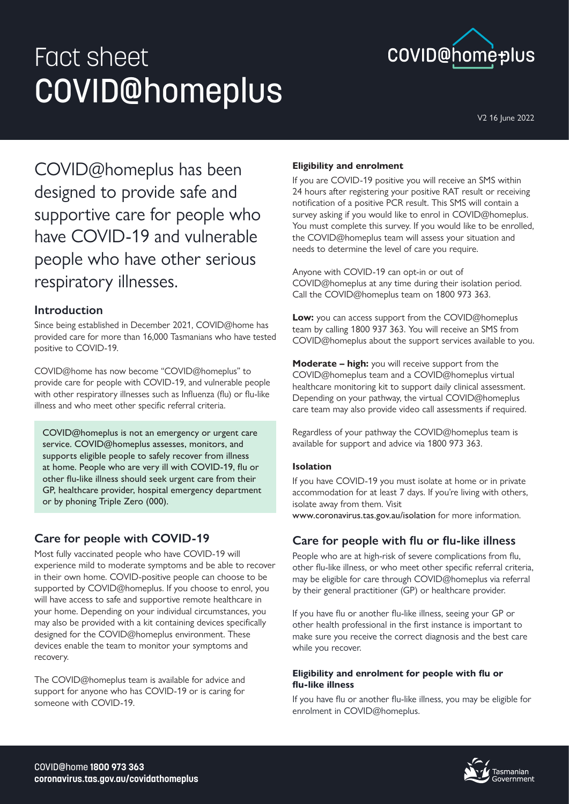# Fact sheet COVID@homeplus



V2 16 June 2022

COVID@homeplus has been designed to provide safe and supportive care for people who have COVID-19 and vulnerable people who have other serious respiratory illnesses.

## **Introduction**

Since being established in December 2021, COVID@home has provided care for more than 16,000 Tasmanians who have tested positive to COVID-19.

COVID@home has now become "COVID@homeplus" to provide care for people with COVID-19, and vulnerable people with other respiratory illnesses such as Influenza (flu) or flu-like illness and who meet other specific referral criteria.

COVID@homeplus is not an emergency or urgent care service. COVID@homeplus assesses, monitors, and supports eligible people to safely recover from illness at home. People who are very ill with COVID-19, flu or other flu-like illness should seek urgent care from their GP, healthcare provider, hospital emergency department or by phoning Triple Zero (000).

# **Care for people with COVID-19**

Most fully vaccinated people who have COVID-19 will experience mild to moderate symptoms and be able to recover in their own home. COVID-positive people can choose to be supported by COVID@homeplus. If you choose to enrol, you will have access to safe and supportive remote healthcare in your home. Depending on your individual circumstances, you may also be provided with a kit containing devices specifically designed for the COVID@homeplus environment. These devices enable the team to monitor your symptoms and recovery.

The COVID@homeplus team is available for advice and support for anyone who has COVID-19 or is caring for someone with COVID-19.

## **Eligibility and enrolment**

If you are COVID-19 positive you will receive an SMS within 24 hours after registering your positive RAT result or receiving notification of a positive PCR result. This SMS will contain a survey asking if you would like to enrol in COVID@homeplus. You must complete this survey. If you would like to be enrolled, the COVID@homeplus team will assess your situation and needs to determine the level of care you require.

Anyone with COVID-19 can opt-in or out of COVID@homeplus at any time during their isolation period. Call the COVID@homeplus team on 1800 973 363.

**Low:** you can access support from the COVID@homeplus team by calling 1800 937 363. You will receive an SMS from COVID@homeplus about the support services available to you.

**Moderate – high:** you will receive support from the COVID@homeplus team and a COVID@homeplus virtual healthcare monitoring kit to support daily clinical assessment. Depending on your pathway, the virtual COVID@homeplus care team may also provide video call assessments if required.

Regardless of your pathway the COVID@homeplus team is available for support and advice via 1800 973 363.

### **Isolation**

If you have COVID-19 you must isolate at home or in private accommodation for at least 7 days. If you're living with others, isolate away from them. Visit

www.coronavirus.tas.gov.au/isolation for more information.

# **Care for people with flu or flu-like illness**

People who are at high-risk of severe complications from flu, other flu-like illness, or who meet other specific referral criteria, may be eligible for care through COVID@homeplus via referral by their general practitioner (GP) or healthcare provider.

If you have flu or another flu-like illness, seeing your GP or other health professional in the first instance is important to make sure you receive the correct diagnosis and the best care while you recover.

#### **Eligibility and enrolment for people with flu or flu-like illness**

If you have flu or another flu-like illness, you may be eligible for enrolment in COVID@homeplus.